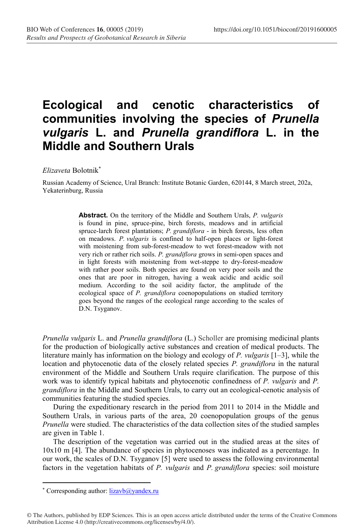## **Ecological and cenotic characteristics of communities involving the species of** *Prunella vulgaris* **L. and** *Prunella grandiflora* **L. in the Middle and Southern Urals**

*Elizaveta* Bolotnik\*

Russian Academy of Science, Ural Branch: Institute Botanic Garden, 620144, 8 March street, 202a, Yekaterinburg, Russia

> **Abstract.** On the territory of the Middle and Southern Urals, *P. vulgaris* is found in pine, spruce-pine, birch forests, meadows and in artificial spruce-larch forest plantations; *P. grandiflora* - in birch forests, less often on meadows. *P. vulgaris* is confined to half-open places or light-forest with moistening from sub-forest-meadow to wet forest-meadow with not very rich or rather rich soils. *P. grandiflora* grows in semi-open spaces and in light forests with moistening from wet-steppe to dry-forest-meadow with rather poor soils. Both species are found on very poor soils and the ones that are poor in nitrogen, having a weak acidic and acidic soil medium. According to the soil acidity factor, the amplitude of the ecological space of *P. grandiflora* coenopopulations on studied territory goes beyond the ranges of the ecological range according to the scales of D.N. Tsyganov.

*Prunella vulgaris* L. and *Prunella grandiflora* (L.) Scholler are promising medicinal plants for the production of biologically active substances and creation of medical products. The literature mainly has information on the biology and ecology of *P. vulgaris* [1–3], while the location and phytocenotic data of the closely related species *P. grandiflora* in the natural environment of the Middle and Southern Urals require clarification. The purpose of this work was to identify typical habitats and phytocenotic confinedness of *P. vulgaris* and *P. grandiflora* in the Middle and Southern Urals, to carry out an ecological-cenotic analysis of communities featuring the studied species.

During the expeditionary research in the period from 2011 to 2014 in the Middle and Southern Urals, in various parts of the area, 20 coenopopulation groups of the genus *Prunella* were studied. The characteristics of the data collection sites of the studied samples are given in Table 1.

The description of the vegetation was carried out in the studied areas at the sites of  $10x10$  m [4]. The abundance of species in phytocenoses was indicated as a percentage. In our work, the scales of D.N. Tsyganov [5] were used to assess the following environmental factors in the vegetation habitats of *P. vulgaris* and *P. grandiflora* species: soil moisture

© The Authors, published by EDP Sciences. This is an open access article distributed under the terms of the Creative Commons Attribution License 4.0 (http://creativecommons.org/licenses/by/4.0/).

 <sup>\*</sup> Corresponding author: lizavb@yandex.ru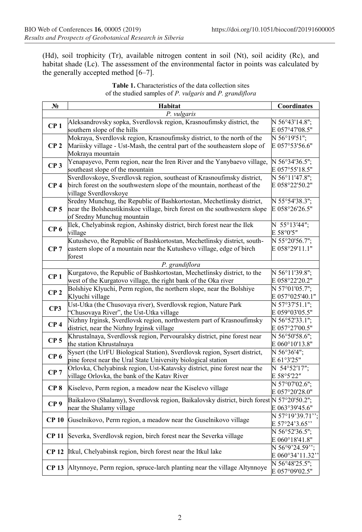(Hd), soil trophicity (Tr), available nitrogen content in soil (Nt), soil acidity (Rc), and habitat shade (Lc). The assessment of the environmental factor in points was calculated by the generally accepted method [6–7].

| $N_2$            | Habitat                                                                                                          | Coordinates                      |  |  |  |
|------------------|------------------------------------------------------------------------------------------------------------------|----------------------------------|--|--|--|
| P. vulgaris      |                                                                                                                  |                                  |  |  |  |
| CP <sub>1</sub>  | Aleksandrovsky sopka, Sverdlovsk region, Krasnoufimsky district, the<br>southern slope of the hills              | N 56°43'14.8":<br>E 057°47'08.5" |  |  |  |
|                  | Mokraya, Sverdlovsk region, Krasnoufimsky district, to the north of the                                          | N 56°19'51";                     |  |  |  |
| CP <sub>2</sub>  | Mariisky village - Ust-Mash, the central part of the southeastern slope of                                       | E 057°53'56.6"                   |  |  |  |
|                  | Mokraya mountain                                                                                                 |                                  |  |  |  |
| CP <sub>3</sub>  | Yenapayevo, Perm region, near the Iren River and the Yanybaevo village,                                          | N 56°34'36.5";                   |  |  |  |
|                  | southeast slope of the mountain                                                                                  | E 057°55'18.5"                   |  |  |  |
|                  | Sverdlovskoye, Sverdlovsk region, southeast of Krasnoufimsky district,                                           | $N 56^{\circ}11'47.8$ ";         |  |  |  |
| CP <sub>4</sub>  | birch forest on the southwestern slope of the mountain, northeast of the                                         | E 058°22'50.2"                   |  |  |  |
|                  | village Sverdlovskoye                                                                                            |                                  |  |  |  |
|                  | Sredny Munchug, the Republic of Bashkortostan, Mechetlinsky district,                                            | $\overline{N}$ 55°54'38.3";      |  |  |  |
| CP <sub>5</sub>  | near the Bolsheustikinskoe village, birch forest on the southwestern slope                                       | E 058°26'26.5"                   |  |  |  |
|                  | of Sredny Munchug mountain                                                                                       |                                  |  |  |  |
|                  | Ilek, Chelyabinsk region, Ashinsky district, birch forest near the Ilek                                          | N 55°13'44";                     |  |  |  |
| CP <sub>6</sub>  | village                                                                                                          | E 58°0'5"                        |  |  |  |
|                  | Kutushevo, the Republic of Bashkortostan, Mechetlinsky district, south-                                          | $N 55°20'56.7$ ";                |  |  |  |
| CP <sub>7</sub>  | eastern slope of a mountain near the Kutushevo village, edge of birch                                            | E 058°29'11.1"                   |  |  |  |
|                  | forest                                                                                                           |                                  |  |  |  |
|                  | P. grandiflora                                                                                                   |                                  |  |  |  |
| CP <sub>1</sub>  | Kurgatovo, the Republic of Bashkortostan, Mechetlinsky district, to the                                          | N 56°11'39.8";                   |  |  |  |
|                  | west of the Kurgatovo village, the right bank of the Oka river                                                   | E 058°22'20.2"                   |  |  |  |
| CP <sub>2</sub>  | Bolshiye Klyuchi, Perm region, the northern slope, near the Bolshiye                                             | N 57°01'05.7":                   |  |  |  |
|                  | Klyuchi village                                                                                                  | E 057°025'40.1"                  |  |  |  |
| CP3              | Ust-Utka (the Chusovaya river), Sverdlovsk region, Nature Park                                                   | N 57°37'51.1":                   |  |  |  |
|                  | "Chusovaya River", the Ust-Utka village<br>Nizhny Irginsk, Sverdlovsk region, northwestern part of Krasnoufimsky | E 059°03'05.5"<br>N 56°52'33.1"; |  |  |  |
| CP <sub>4</sub>  | district, near the Nizhny Irginsk village                                                                        | E 057°27'00.5"                   |  |  |  |
|                  | Khrustalnaya, Sverdlovsk region, Pervouralsky district, pine forest near                                         | N 56°50'58.6":                   |  |  |  |
| CP <sub>5</sub>  | the station Khrustalnaya                                                                                         | E 060°10'13.8"                   |  |  |  |
|                  | Sysert (the UrFU Biological Station), Sverdlovsk region, Sysert district,                                        | N 56°36'4";                      |  |  |  |
| CP <sub>6</sub>  | pine forest near the Ural State University biological station                                                    | E 61°3'25"                       |  |  |  |
|                  | Orlovka, Chelyabinsk region, Ust-Katavsky district, pine forest near the                                         | N $54°52'17'';$                  |  |  |  |
| CP <sub>7</sub>  | village Orlovka, the bank of the Katav River                                                                     | E 58°5'22"                       |  |  |  |
|                  |                                                                                                                  | N 57°07'02.6";                   |  |  |  |
| CP <sub>8</sub>  | Kiselevo, Perm region, a meadow near the Kiselevo village                                                        | E 057°20'28.0"                   |  |  |  |
|                  | Baikalovo (Shalamy), Sverdlovsk region, Baikalovsky district, birch forest N 57°20'50.2";                        |                                  |  |  |  |
| CP <sub>9</sub>  | near the Shalamy village                                                                                         | E 063°39'45.6"                   |  |  |  |
| CP <sub>10</sub> | Guselnikovo, Perm region, a meadow near the Guselnikovo village                                                  | N 57°19'39.71'';                 |  |  |  |
|                  |                                                                                                                  | E 57°24'3.65"                    |  |  |  |
| <b>CP 11</b>     | Severka, Sverdlovsk region, birch forest near the Severka village                                                | $\overline{N}$ 56°52'36.5";      |  |  |  |
|                  |                                                                                                                  | E 060°18'41.8"                   |  |  |  |
| CP 12            | Itkul, Chelyabinsk region, birch forest near the Itkul lake                                                      | N $56°9'24.59''$ ;               |  |  |  |
|                  |                                                                                                                  | E 060°34'11.32"                  |  |  |  |
|                  | CP 13 Altynnoye, Perm region, spruce-larch planting near the village Altynnoye                                   | N 56°48'25.5";                   |  |  |  |
|                  |                                                                                                                  | E 057°09'02.5"                   |  |  |  |

**Table 1.** Characteristics of the data collection sites of the studied samples of *P. vulgaris* and *P. grandiflora*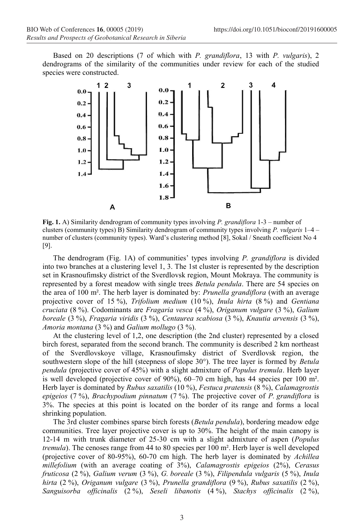Based on 20 descriptions (7 of which with *P. grandiflora*, 13 with *P. vulgaris*), 2 dendrograms of the similarity of the communities under review for each of the studied species were constructed.



**Fig. 1.** A) Similarity dendrogram of community types involving *P. grandiflora* 1-3 – number of clusters (community types) B) Similarity dendrogram of community types involving *P. vulgaris* 1–4 – number of clusters (community types). Ward's clustering method [8], Sokal / Sneath coefficient No 4 [9].

The dendrogram (Fig. 1A) of communities' types involving *P. grandiflora* is divided into two branches at a clustering level 1, 3. The 1st cluster is represented by the description set in Krasnoufimsky district of the Sverdlovsk region, Mount Mokraya. The community is represented by a forest meadow with single trees *Betula pendula*. There are 54 species on the area of 100 m². The herb layer is dominated by: *Prunella grandiflora* (with an average projective cover of 15 %), *Trifolium medium* (10 %), *Inula hirta* (8 %) and *Gentiana cruciata* (8 %). Codominants are *Fragaria vesca* (4 %), *Origanum vulgare* (3 %), *Galium boreale* (3 %), *Fragaria viridis* (3 %), *Centaurea scabiosa* (3 %), *Knautia arvensis* (3 %), *Amoria montana* (3 %) and *Galium mollugo* (3 %).

At the clustering level of 1,2, one description (the 2nd cluster) represented by a closed birch forest, separated from the second branch. The community is described 2 km northeast of the Sverdlovskoye village, Krasnoufimsky district of Sverdlovsk region, the southwestern slope of the hill (steepness of slope 30°). The tree layer is formed by *Betula pendula* (projective cover of 45%) with a slight admixture of *Populus tremula*. Herb layer is well developed (projective cover of  $90\%$ ),  $60-70$  cm high, has 44 species per 100 m<sup>2</sup>. Herb layer is dominated by *Rubus saxatilis* (10 %), *Festuca pratensis* (8 %), *Calamagrostis epigeios* (7 %), *Brachypodium pinnatum* (7 %). The projective cover of *P. grandiflora* is 3%. The species at this point is located on the border of its range and forms a local shrinking population.

The 3rd cluster combines sparse birch forests (*Betula pendula*), bordering meadow edge communities. Tree layer projective cover is up to 30%. The height of the main canopy is 12-14 m with trunk diameter of 25-30 cm with a slight admixture of aspen (*Populus tremula*). The cenoses range from 44 to 80 species per 100 m². Herb layer is well developed (projective cover of 80-95%), 60-70 cm high. The herb layer is dominated by *Achillea millefolium* (with an average coating of 3%), *Calamagrostis epigeios* (2%), *Cerasus fruticosa* (2 %), *Galium verum* (3 %), *G. boreale* (3 %), *Filipendula vulgaris* (5 %), *Inula hirta* (2 %), *Origanum vulgare* (3 %), *Prunella grandiflora* (9 %), *Rubus saxatilis* (2 %), *Sanguisorba officinalis* (2 %), *Seseli libanotis* (4 %), *Stachys officinalis* (2 %),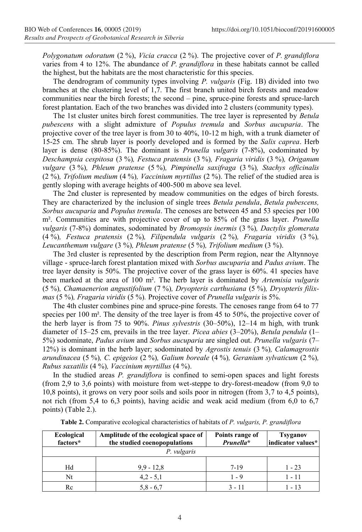*Polygonatum odoratum* (2 %), *Vicia cracca* (2 %). The projective cover of *P. grandiflora* varies from 4 to 12%. The abundance of *P. grandiflora* in these habitats cannot be called the highest, but the habitats are the most characteristic for this species.

The dendrogram of community types involving *P. vulgaris* (Fig. 1B) divided into two branches at the clustering level of 1,7. The first branch united birch forests and meadow communities near the birch forests; the second – pine, spruce-pine forests and spruce-larch forest plantation. Each of the two branches was divided into 2 clusters (community types).

The 1st cluster unites birch forest communities. The tree layer is represented by *Betula pubescens* with a slight admixture of *Populus tremula* and *Sorbus aucuparia*. The projective cover of the tree layer is from 30 to 40%, 10-12 m high, with a trunk diameter of 15-25 cm. The shrub layer is poorly developed and is formed by the *Salix caprea*. Herb layer is dense (80-85%). The dominant is *Prunella vulgaris* (7-8%), codominated by *Deschampsia cespitosa* (3 %)*, Festuca pratensis* (3 %)*, Fragaria viridis* (3 %)*, Origanum vulgare* (3 %)*, Phleum pratense* (5 %)*, Pimpinella saxifraga* (3 %)*, Stachys officinalis*  (2 %)*, Trifolium medium* (4 %)*, Vaccinium myrtillus* (2 %). The relief of the studied area is gently sloping with average heights of 400-500 m above sea level.

The 2nd cluster is represented by meadow communities on the edges of birch forests. They are characterized by the inclusion of single trees *Betula pendula*, *Betula pubescens, Sorbus aucuparia* and *Populus tremula*. The cenoses are between 45 and 53 species per 100 m². Communities are with projective cover of up to 85% of the grass layer. *Prunella vulgaris* (7-8%) dominates, sodominated by *Bromopsis inermis* (3 %)*, Dactylis glomerata*  (4 %)*, Festuca pratensis* (2 %)*, Filipendula vulgaris* (2 %)*, Fragaria viridis* (3 %)*, Leucanthemum vulgare* (3 %)*, Phleum pratense* (5 %)*, Trifolium medium* (3 %).

The 3rd cluster is represented by the description from Perm region, near the Altynnoye village - spruce-larch forest plantation mixed with *Sorbus aucuparia* and *Padus avium*. The tree layer density is 50%. The projective cover of the grass layer is 60%. 41 species have been marked at the area of 100 m². The herb layer is dominated by *Artemisia vulgaris*  (5 %)*, Chamaenerion angustifolium* (7 %)*, Dryopteris carthusiana* (5 %)*, Dryopteris filixmas* (5 %)*, Fragaria viridis* (5 %)*.* Projective cover of *Prunella vulgaris* is 5%.

The 4th cluster combines pine and spruce-pine forests. The cenoses range from 64 to 77 species per 100 m². The density of the tree layer is from 45 to 50%, the projective cover of the herb layer is from 75 to 90%. *Pinus sylvestris* (30–50%), 12–14 m high, with trunk diameter of 15–25 cm, prevails in the tree layer. *Picea abies* (3–20%), *Betula pendula* (1– 5%) sodominate, *Padus avium* and *Sorbus aucuparia* are singled out. *Prunella vulgaris* (7– 12%) is dominant in the herb layer; sodominated by *Agrostis tenuis* (3 %)*, Calamagrostis arundinacea* (5 %)*, C. epigeios* (2 %)*, Galium boreale* (4 %)*, Geranium sylvaticum* (2 %)*, Rubus saxatilis* (4 %)*, Vaccinium myrtillus* (4 %).

In the studied areas *P. grandiflora* is confined to semi-open spaces and light forests (from 2,9 to 3,6 points) with moisture from wet-steppe to dry-forest-meadow (from 9,0 to 10,8 points), it grows on very poor soils and soils poor in nitrogen (from 3,7 to 4,5 points), not rich (from 5,4 to 6,3 points), having acidic and weak acid medium (from 6,0 to 6,7 points) (Table 2.).

| Ecological<br>factors* | Amplitude of the ecological space of<br>the studied coenopopulations | Points range of<br>Prunella* | <b>Tsyganov</b><br>indicator values* |  |  |  |
|------------------------|----------------------------------------------------------------------|------------------------------|--------------------------------------|--|--|--|
| P. vulgaris            |                                                                      |                              |                                      |  |  |  |
| Hd                     | $9.9 - 12.8$                                                         | 7-19                         | $1 - 23$                             |  |  |  |
| Nt                     | $4,2 - 5,1$                                                          | $1 - 9$                      | $1 - 11$                             |  |  |  |
| Rc                     | $5,8 - 6,7$                                                          | $3 - 11$                     | 1 - 13                               |  |  |  |

**Table 2.** Comparative ecological characteristics of habitats of *P. vulgaris, P. grandiflora*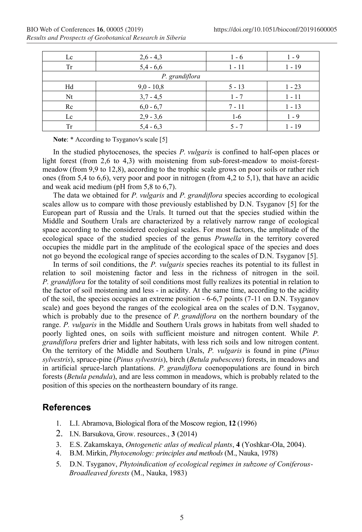| Lc             | $2,6 - 4,3$  | $1 - 6$  | $1 - 9$  |  |  |  |
|----------------|--------------|----------|----------|--|--|--|
| Tr             | $5,4 - 6,6$  | 1 - 11   | $1 - 19$ |  |  |  |
| P. grandiflora |              |          |          |  |  |  |
| Hd             | $9,0 - 10,8$ | $5 - 13$ | $1 - 23$ |  |  |  |
| Nt             | $3,7 - 4,5$  | $1 - 7$  | $1 - 11$ |  |  |  |
| Rc             | $6,0 - 6,7$  | $7 - 11$ | $1 - 13$ |  |  |  |
| Lc             | $2,9 - 3,6$  | $1-6$    | $1 - 9$  |  |  |  |
| Tr             | $5.4 - 6.3$  | 5 - 7    | 1 - 19   |  |  |  |

Note: \* According to Tsyganov's scale [5]

In the studied phytocenoses, the species *P. vulgaris* is confined to half-open places or light forest (from 2,6 to 4,3) with moistening from sub-forest-meadow to moist-forestmeadow (from 9,9 to 12,8), according to the trophic scale grows on poor soils or rather rich ones (from 5,4 to 6,6), very poor and poor in nitrogen (from 4,2 to 5,1), that have an acidic and weak acid medium (pH from 5,8 to 6,7).

The data we obtained for *P. vulgaris* and *P. grandiflora* species according to ecological scales allow us to compare with those previously established by D.N. Tsyganov [5] for the European part of Russia and the Urals. It turned out that the species studied within the Middle and Southern Urals are characterized by a relatively narrow range of ecological space according to the considered ecological scales. For most factors, the amplitude of the ecological space of the studied species of the genus *Prunella* in the territory covered occupies the middle part in the amplitude of the ecological space of the species and does not go beyond the ecological range of species according to the scales of D.N. Tsyganov [5].

In terms of soil conditions, the *P. vulgaris* species reaches its potential to its fullest in relation to soil moistening factor and less in the richness of nitrogen in the soil. *P. grandiflora* for the totality of soil conditions most fully realizes its potential in relation to the factor of soil moistening and less - in acidity. At the same time, according to the acidity of the soil, the species occupies an extreme position - 6-6,7 points (7-11 on D.N. Tsyganov scale) and goes beyond the ranges of the ecological area on the scales of D.N. Tsyganov, which is probably due to the presence of *P. grandiflora* on the northern boundary of the range. *P. vulgaris* in the Middle and Southern Urals grows in habitats from well shaded to poorly lighted ones, on soils with sufficient moisture and nitrogen content. While *P. grandiflora* prefers drier and lighter habitats, with less rich soils and low nitrogen content. On the territory of the Middle and Southern Urals, *P. vulgaris* is found in pine (*Pinus sylvestris*), spruce-pine (*Pinus sylvestris*), birch (*Betula pubescens*) forests, in meadows and in artificial spruce-larch plantations. *P. grandiflora* coenopopulations are found in birch forests (*Betula pendula*), and are less common in meadows, which is probably related to the position of this species on the northeastern boundary of its range.

## **References**

- 1. L.I. Abramova, Biological flora of the Moscow region, **12** (1996)
- 2. I.N. Barsukova, Grow. resources., **3** (2014)
- 3. E.S. Zakamskaya, *Ontogenetic atlas of medical plants*, **4** (Yoshkar-Ola, 2004).
- 4. B.M. Mirkin, *Phytocenology: principles and methods* (M., Nauka, 1978)
- 5. D.N. Tsyganov, *Phytoindication of ecological regimes in subzone of Coniferous-Broadleaved forests* (M., Nauka, 1983)